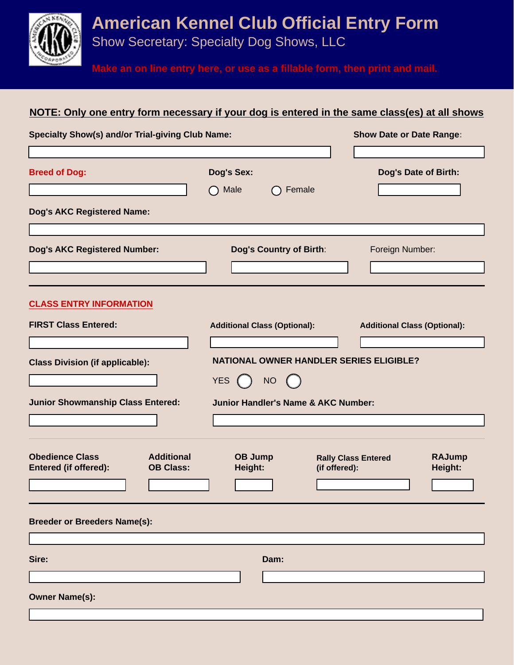**American Kennel Club Official Entry Form** 

Show Secretary: Specialty Dog Shows, LLC

**Make an on line entry here, or use as a fillable form, then print and mail.**

## **NOTE: Only one entry form necessary if your dog is entered in the same class(es) at all shows**

| <b>Specialty Show(s) and/or Trial-giving Club Name:</b>                                         |                                                                                                                        | <b>Show Date or Date Range:</b>                                         |
|-------------------------------------------------------------------------------------------------|------------------------------------------------------------------------------------------------------------------------|-------------------------------------------------------------------------|
| <b>Breed of Dog:</b>                                                                            | <b>Dog's Sex:</b><br>Male<br>Female                                                                                    | Dog's Date of Birth:                                                    |
| <b>Dog's AKC Registered Name:</b>                                                               |                                                                                                                        |                                                                         |
| <b>Dog's AKC Registered Number:</b>                                                             | Dog's Country of Birth:                                                                                                | Foreign Number:                                                         |
| <b>CLASS ENTRY INFORMATION</b><br><b>FIRST Class Entered:</b>                                   | <b>Additional Class (Optional):</b>                                                                                    | <b>Additional Class (Optional):</b>                                     |
|                                                                                                 |                                                                                                                        |                                                                         |
| <b>Class Division (if applicable):</b><br><b>Junior Showmanship Class Entered:</b>              | <b>NATIONAL OWNER HANDLER SERIES ELIGIBLE?</b><br>NO (<br><b>YES</b><br><b>Junior Handler's Name &amp; AKC Number:</b> |                                                                         |
| <b>Obedience Class</b><br><b>Additional</b><br><b>Entered (if offered):</b><br><b>OB Class:</b> | OB Jump<br>Height:                                                                                                     | <b>RAJump</b><br><b>Rally Class Entered</b><br>Height:<br>(if offered): |
| <b>Breeder or Breeders Name(s):</b>                                                             |                                                                                                                        |                                                                         |
| Sire:                                                                                           | Dam:                                                                                                                   |                                                                         |
| <b>Owner Name(s):</b>                                                                           |                                                                                                                        |                                                                         |